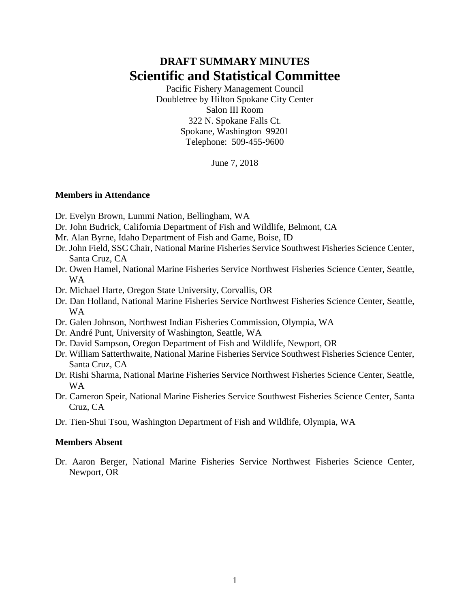# **DRAFT SUMMARY MINUTES Scientific and Statistical Committee**

Pacific Fishery Management Council Doubletree by Hilton Spokane City Center Salon III Room 322 N. Spokane Falls Ct. Spokane, Washington 99201 Telephone: 509-455-9600

#### June 7, 2018

#### **Members in Attendance**

- Dr. Evelyn Brown, Lummi Nation, Bellingham, WA
- Dr. John Budrick, California Department of Fish and Wildlife, Belmont, CA
- Mr. Alan Byrne, Idaho Department of Fish and Game, Boise, ID
- Dr. John Field, SSC Chair, National Marine Fisheries Service Southwest Fisheries Science Center, Santa Cruz, CA
- Dr. Owen Hamel, National Marine Fisheries Service Northwest Fisheries Science Center, Seattle, WA
- Dr. Michael Harte, Oregon State University, Corvallis, OR
- Dr. Dan Holland, National Marine Fisheries Service Northwest Fisheries Science Center, Seattle, WA
- Dr. Galen Johnson, Northwest Indian Fisheries Commission, Olympia, WA
- Dr. André Punt, University of Washington, Seattle, WA
- Dr. David Sampson, Oregon Department of Fish and Wildlife, Newport, OR
- Dr. William Satterthwaite, National Marine Fisheries Service Southwest Fisheries Science Center, Santa Cruz, CA
- Dr. Rishi Sharma, National Marine Fisheries Service Northwest Fisheries Science Center, Seattle, WA
- Dr. Cameron Speir, National Marine Fisheries Service Southwest Fisheries Science Center, Santa Cruz, CA
- Dr. Tien-Shui Tsou, Washington Department of Fish and Wildlife, Olympia, WA

#### **Members Absent**

Dr. Aaron Berger, National Marine Fisheries Service Northwest Fisheries Science Center, Newport, OR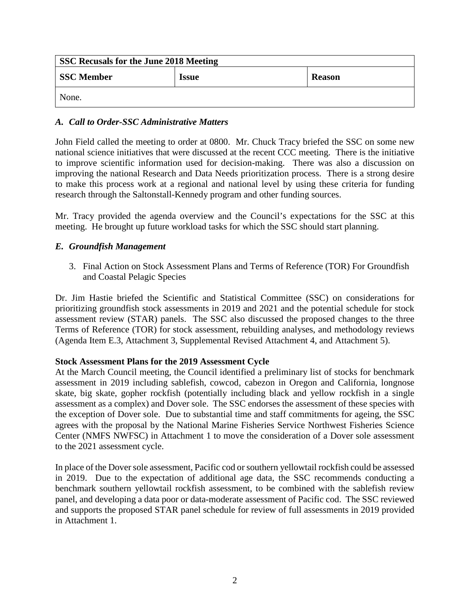| <b>SSC Recusals for the June 2018 Meeting</b> |               |  |  |  |  |
|-----------------------------------------------|---------------|--|--|--|--|
| <b>SSC Member</b>                             | <b>Reason</b> |  |  |  |  |
| None.                                         |               |  |  |  |  |

# *A. Call to Order-SSC Administrative Matters*

John Field called the meeting to order at 0800. Mr. Chuck Tracy briefed the SSC on some new national science initiatives that were discussed at the recent CCC meeting. There is the initiative to improve scientific information used for decision-making. There was also a discussion on improving the national Research and Data Needs prioritization process. There is a strong desire to make this process work at a regional and national level by using these criteria for funding research through the Saltonstall-Kennedy program and other funding sources.

Mr. Tracy provided the agenda overview and the Council's expectations for the SSC at this meeting. He brought up future workload tasks for which the SSC should start planning.

# *E. Groundfish Management*

3. Final Action on Stock Assessment Plans and Terms of Reference (TOR) For Groundfish and Coastal Pelagic Species

Dr. Jim Hastie briefed the Scientific and Statistical Committee (SSC) on considerations for prioritizing groundfish stock assessments in 2019 and 2021 and the potential schedule for stock assessment review (STAR) panels. The SSC also discussed the proposed changes to the three Terms of Reference (TOR) for stock assessment, rebuilding analyses, and methodology reviews (Agenda Item E.3, Attachment 3, Supplemental Revised Attachment 4, and Attachment 5).

#### **Stock Assessment Plans for the 2019 Assessment Cycle**

At the March Council meeting, the Council identified a preliminary list of stocks for benchmark assessment in 2019 including sablefish, cowcod, cabezon in Oregon and California, longnose skate, big skate, gopher rockfish (potentially including black and yellow rockfish in a single assessment as a complex) and Dover sole. The SSC endorses the assessment of these species with the exception of Dover sole. Due to substantial time and staff commitments for ageing, the SSC agrees with the proposal by the National Marine Fisheries Service Northwest Fisheries Science Center (NMFS NWFSC) in Attachment 1 to move the consideration of a Dover sole assessment to the 2021 assessment cycle.

In place of the Dover sole assessment, Pacific cod or southern yellowtail rockfish could be assessed in 2019. Due to the expectation of additional age data, the SSC recommends conducting a benchmark southern yellowtail rockfish assessment, to be combined with the sablefish review panel, and developing a data poor or data-moderate assessment of Pacific cod. The SSC reviewed and supports the proposed STAR panel schedule for review of full assessments in 2019 provided in Attachment 1.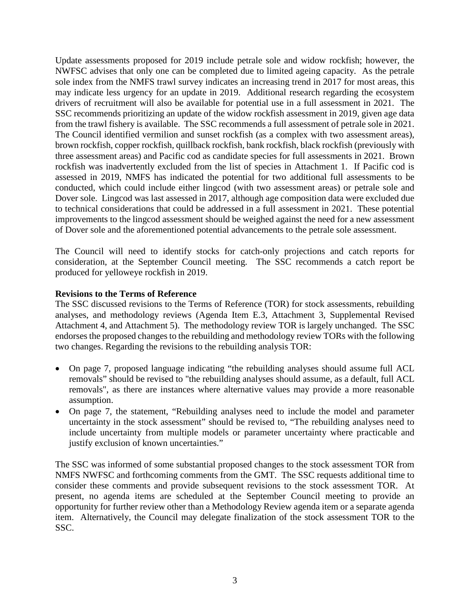Update assessments proposed for 2019 include petrale sole and widow rockfish; however, the NWFSC advises that only one can be completed due to limited ageing capacity. As the petrale sole index from the NMFS trawl survey indicates an increasing trend in 2017 for most areas, this may indicate less urgency for an update in 2019. Additional research regarding the ecosystem drivers of recruitment will also be available for potential use in a full assessment in 2021. The SSC recommends prioritizing an update of the widow rockfish assessment in 2019, given age data from the trawl fishery is available. The SSC recommends a full assessment of petrale sole in 2021. The Council identified vermilion and sunset rockfish (as a complex with two assessment areas), brown rockfish, copper rockfish, quillback rockfish, bank rockfish, black rockfish (previously with three assessment areas) and Pacific cod as candidate species for full assessments in 2021. Brown rockfish was inadvertently excluded from the list of species in Attachment 1. If Pacific cod is assessed in 2019, NMFS has indicated the potential for two additional full assessments to be conducted, which could include either lingcod (with two assessment areas) or petrale sole and Dover sole. Lingcod was last assessed in 2017, although age composition data were excluded due to technical considerations that could be addressed in a full assessment in 2021. These potential improvements to the lingcod assessment should be weighed against the need for a new assessment of Dover sole and the aforementioned potential advancements to the petrale sole assessment.

The Council will need to identify stocks for catch-only projections and catch reports for consideration, at the September Council meeting. The SSC recommends a catch report be produced for yelloweye rockfish in 2019.

# **Revisions to the Terms of Reference**

The SSC discussed revisions to the Terms of Reference (TOR) for stock assessments, rebuilding analyses, and methodology reviews (Agenda Item E.3, Attachment 3, Supplemental Revised Attachment 4, and Attachment 5). The methodology review TOR is largely unchanged. The SSC endorses the proposed changes to the rebuilding and methodology review TORs with the following two changes. Regarding the revisions to the rebuilding analysis TOR:

- On page 7, proposed language indicating "the rebuilding analyses should assume full ACL removals" should be revised to "the rebuilding analyses should assume, as a default, full ACL removals", as there are instances where alternative values may provide a more reasonable assumption.
- On page 7, the statement, "Rebuilding analyses need to include the model and parameter uncertainty in the stock assessment" should be revised to, "The rebuilding analyses need to include uncertainty from multiple models or parameter uncertainty where practicable and justify exclusion of known uncertainties."

The SSC was informed of some substantial proposed changes to the stock assessment TOR from NMFS NWFSC and forthcoming comments from the GMT. The SSC requests additional time to consider these comments and provide subsequent revisions to the stock assessment TOR. At present, no agenda items are scheduled at the September Council meeting to provide an opportunity for further review other than a Methodology Review agenda item or a separate agenda item. Alternatively, the Council may delegate finalization of the stock assessment TOR to the SSC.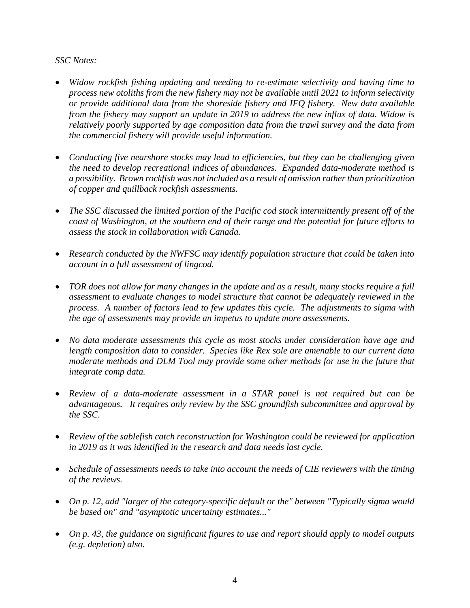# *SSC Notes:*

- *Widow rockfish fishing updating and needing to re-estimate selectivity and having time to process new otoliths from the new fishery may not be available until 2021 to inform selectivity or provide additional data from the shoreside fishery and IFQ fishery. New data available from the fishery may support an update in 2019 to address the new influx of data. Widow is relatively poorly supported by age composition data from the trawl survey and the data from the commercial fishery will provide useful information.*
- *Conducting five nearshore stocks may lead to efficiencies, but they can be challenging given the need to develop recreational indices of abundances. Expanded data-moderate method is a possibility. Brown rockfish was not included as a result of omission rather than prioritization of copper and quillback rockfish assessments.*
- *The SSC discussed the limited portion of the Pacific cod stock intermittently present off of the coast of Washington, at the southern end of their range and the potential for future efforts to assess the stock in collaboration with Canada.*
- *Research conducted by the NWFSC may identify population structure that could be taken into account in a full assessment of lingcod.*
- *TOR does not allow for many changes in the update and as a result, many stocks require a full assessment to evaluate changes to model structure that cannot be adequately reviewed in the process. A number of factors lead to few updates this cycle. The adjustments to sigma with the age of assessments may provide an impetus to update more assessments.*
- *No data moderate assessments this cycle as most stocks under consideration have age and length composition data to consider. Species like Rex sole are amenable to our current data moderate methods and DLM Tool may provide some other methods for use in the future that integrate comp data.*
- *Review of a data-moderate assessment in a STAR panel is not required but can be advantageous. It requires only review by the SSC groundfish subcommittee and approval by the SSC.*
- *Review of the sablefish catch reconstruction for Washington could be reviewed for application in 2019 as it was identified in the research and data needs last cycle.*
- *Schedule of assessments needs to take into account the needs of CIE reviewers with the timing of the reviews.*
- *On p. 12, add "larger of the category-specific default or the" between "Typically sigma would be based on" and "asymptotic uncertainty estimates..."*
- *On p. 43, the guidance on significant figures to use and report should apply to model outputs (e.g. depletion) also.*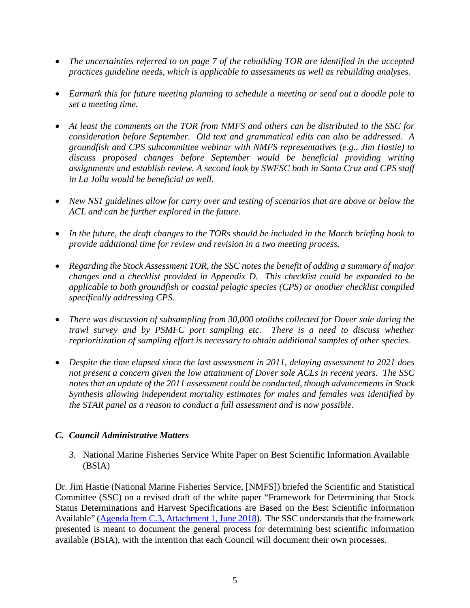- *The uncertainties referred to on page 7 of the rebuilding TOR are identified in the accepted practices guideline needs, which is applicable to assessments as well as rebuilding analyses.*
- *Earmark this for future meeting planning to schedule a meeting or send out a doodle pole to set a meeting time.*
- *At least the comments on the TOR from NMFS and others can be distributed to the SSC for consideration before September. Old text and grammatical edits can also be addressed. A groundfish and CPS subcommittee webinar with NMFS representatives (e.g., Jim Hastie) to discuss proposed changes before September would be beneficial providing writing assignments and establish review. A second look by SWFSC both in Santa Cruz and CPS staff in La Jolla would be beneficial as well.*
- *New NS1 guidelines allow for carry over and testing of scenarios that are above or below the ACL and can be further explored in the future.*
- *In the future, the draft changes to the TORs should be included in the March briefing book to provide additional time for review and revision in a two meeting process.*
- *Regarding the Stock Assessment TOR, the SSC notes the benefit of adding a summary of major changes and a checklist provided in Appendix D. This checklist could be expanded to be applicable to both groundfish or coastal pelagic species (CPS) or another checklist compiled specifically addressing CPS.*
- *There was discussion of subsampling from 30,000 otoliths collected for Dover sole during the trawl survey and by PSMFC port sampling etc. There is a need to discuss whether reprioritization of sampling effort is necessary to obtain additional samples of other species.*
- *Despite the time elapsed since the last assessment in 2011, delaying assessment to 2021 does not present a concern given the low attainment of Dover sole ACLs in recent years. The SSC notes that an update of the 2011 assessment could be conducted, though advancements in Stock Synthesis allowing independent mortality estimates for males and females was identified by the STAR panel as a reason to conduct a full assessment and is now possible.*

# *C. Council Administrative Matters*

3. National Marine Fisheries Service White Paper on Best Scientific Information Available (BSIA)

Dr. Jim Hastie (National Marine Fisheries Service, [NMFS]) briefed the Scientific and Statistical Committee (SSC) on a revised draft of the white paper "Framework for Determining that Stock Status Determinations and Harvest Specifications are Based on the Best Scientific Information Available" [\(Agenda Item C.3, Attachment 1, June 2018\)](https://www.pcouncil.org/wp-content/uploads/2018/05/C3_Att1_BSIA_WhitePaper_June2018BB.pdf). The SSC understands that the framework presented is meant to document the general process for determining best scientific information available (BSIA), with the intention that each Council will document their own processes.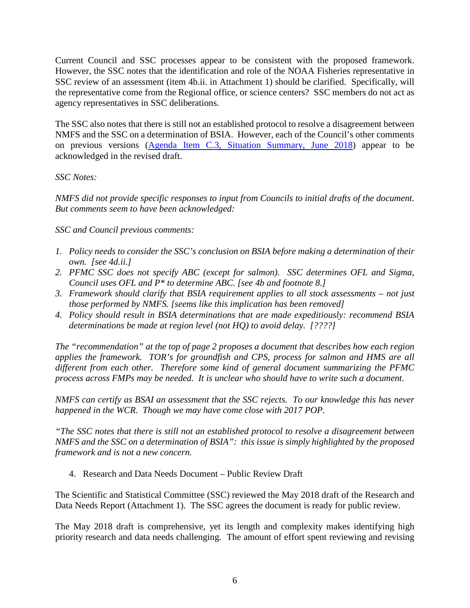Current Council and SSC processes appear to be consistent with the proposed framework. However, the SSC notes that the identification and role of the NOAA Fisheries representative in SSC review of an assessment (item 4b.ii. in Attachment 1) should be clarified. Specifically, will the representative come from the Regional office, or science centers? SSC members do not act as agency representatives in SSC deliberations.

The SSC also notes that there is still not an established protocol to resolve a disagreement between NMFS and the SSC on a determination of BSIA. However, each of the Council's other comments on previous versions [\(Agenda Item C.3, Situation Summary, June 2018\)](https://www.pcouncil.org/wp-content/uploads/2018/05/C3__SitSum_BSIA_June2018BB.pdf) appear to be acknowledged in the revised draft.

# *SSC Notes:*

*NMFS did not provide specific responses to input from Councils to initial drafts of the document. But comments seem to have been acknowledged:*

*SSC and Council previous comments:*

- *1. Policy needs to consider the SSC's conclusion on BSIA before making a determination of their own. [see 4d.ii.]*
- *2. PFMC SSC does not specify ABC (except for salmon). SSC determines OFL and Sigma, Council uses OFL and P\* to determine ABC. [see 4b and footnote 8.]*
- *3. Framework should clarify that BSIA requirement applies to all stock assessments – not just those performed by NMFS. [seems like this implication has been removed]*
- *4. Policy should result in BSIA determinations that are made expeditiously: recommend BSIA determinations be made at region level (not HQ) to avoid delay. [????]*

*The "recommendation" at the top of page 2 proposes a document that describes how each region applies the framework. TOR's for groundfish and CPS, process for salmon and HMS are all different from each other. Therefore some kind of general document summarizing the PFMC process across FMPs may be needed. It is unclear who should have to write such a document.* 

*NMFS can certify as BSAI an assessment that the SSC rejects. To our knowledge this has never happened in the WCR. Though we may have come close with 2017 POP.*

*"The SSC notes that there is still not an established protocol to resolve a disagreement between NMFS and the SSC on a determination of BSIA": this issue is simply highlighted by the proposed framework and is not a new concern.*

4. Research and Data Needs Document – Public Review Draft

The Scientific and Statistical Committee (SSC) reviewed the May 2018 draft of the Research and Data Needs Report (Attachment 1). The SSC agrees the document is ready for public review.

The May 2018 draft is comprehensive, yet its length and complexity makes identifying high priority research and data needs challenging. The amount of effort spent reviewing and revising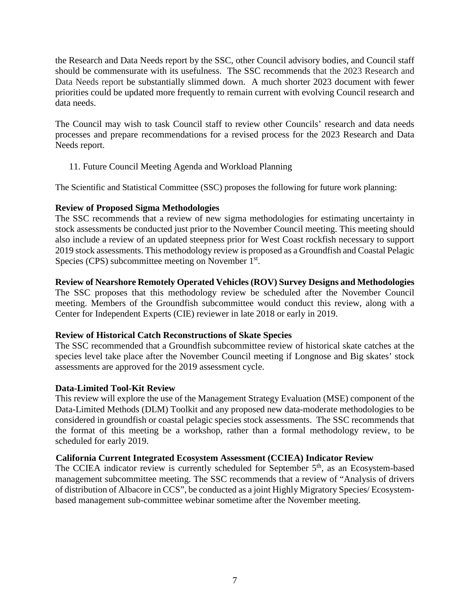the Research and Data Needs report by the SSC, other Council advisory bodies, and Council staff should be commensurate with its usefulness. The SSC recommends that the 2023 Research and Data Needs report be substantially slimmed down. A much shorter 2023 document with fewer priorities could be updated more frequently to remain current with evolving Council research and data needs.

The Council may wish to task Council staff to review other Councils' research and data needs processes and prepare recommendations for a revised process for the 2023 Research and Data Needs report.

# 11. Future Council Meeting Agenda and Workload Planning

The Scientific and Statistical Committee (SSC) proposes the following for future work planning:

# **Review of Proposed Sigma Methodologies**

The SSC recommends that a review of new sigma methodologies for estimating uncertainty in stock assessments be conducted just prior to the November Council meeting. This meeting should also include a review of an updated steepness prior for West Coast rockfish necessary to support 2019 stock assessments. This methodology review is proposed as a Groundfish and Coastal Pelagic Species (CPS) subcommittee meeting on November 1<sup>st</sup>.

#### **Review of Nearshore Remotely Operated Vehicles (ROV) Survey Designs and Methodologies**

The SSC proposes that this methodology review be scheduled after the November Council meeting. Members of the Groundfish subcommittee would conduct this review, along with a Center for Independent Experts (CIE) reviewer in late 2018 or early in 2019.

#### **Review of Historical Catch Reconstructions of Skate Species**

The SSC recommended that a Groundfish subcommittee review of historical skate catches at the species level take place after the November Council meeting if Longnose and Big skates' stock assessments are approved for the 2019 assessment cycle.

# **Data-Limited Tool-Kit Review**

This review will explore the use of the Management Strategy Evaluation (MSE) component of the Data-Limited Methods (DLM) Toolkit and any proposed new data-moderate methodologies to be considered in groundfish or coastal pelagic species stock assessments. The SSC recommends that the format of this meeting be a workshop, rather than a formal methodology review, to be scheduled for early 2019.

# **California Current Integrated Ecosystem Assessment (CCIEA) Indicator Review**

The CCIEA indicator review is currently scheduled for September 5<sup>th</sup>, as an Ecosystem-based management subcommittee meeting. The SSC recommends that a review of "Analysis of drivers of distribution of Albacore in CCS", be conducted as a joint Highly Migratory Species/ Ecosystembased management sub-committee webinar sometime after the November meeting.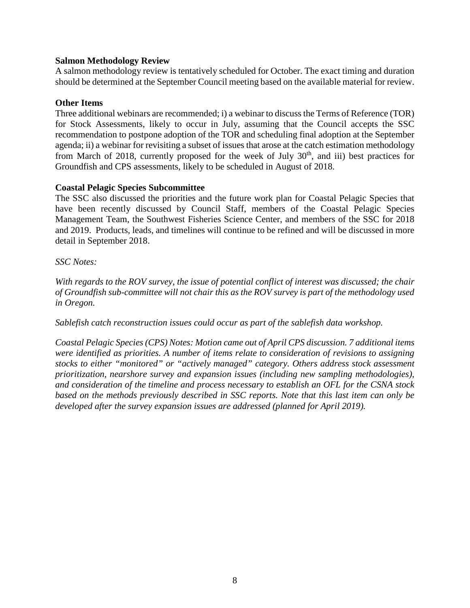#### **Salmon Methodology Review**

A salmon methodology review is tentatively scheduled for October. The exact timing and duration should be determined at the September Council meeting based on the available material for review.

#### **Other Items**

Three additional webinars are recommended; i) a webinar to discuss the Terms of Reference (TOR) for Stock Assessments, likely to occur in July, assuming that the Council accepts the SSC recommendation to postpone adoption of the TOR and scheduling final adoption at the September agenda; ii) a webinar for revisiting a subset of issues that arose at the catch estimation methodology from March of 2018, currently proposed for the week of July  $30<sup>th</sup>$ , and iii) best practices for Groundfish and CPS assessments, likely to be scheduled in August of 2018.

# **Coastal Pelagic Species Subcommittee**

The SSC also discussed the priorities and the future work plan for Coastal Pelagic Species that have been recently discussed by Council Staff, members of the Coastal Pelagic Species Management Team, the Southwest Fisheries Science Center, and members of the SSC for 2018 and 2019. Products, leads, and timelines will continue to be refined and will be discussed in more detail in September 2018.

*SSC Notes:*

*With regards to the ROV survey, the issue of potential conflict of interest was discussed; the chair of Groundfish sub-committee will not chair this as the ROV survey is part of the methodology used in Oregon.*

*Sablefish catch reconstruction issues could occur as part of the sablefish data workshop.*

*Coastal Pelagic Species (CPS) Notes: Motion came out of April CPS discussion. 7 additional items were identified as priorities. A number of items relate to consideration of revisions to assigning stocks to either "monitored" or "actively managed" category. Others address stock assessment prioritization, nearshore survey and expansion issues (including new sampling methodologies), and consideration of the timeline and process necessary to establish an OFL for the CSNA stock based on the methods previously described in SSC reports. Note that this last item can only be developed after the survey expansion issues are addressed (planned for April 2019).*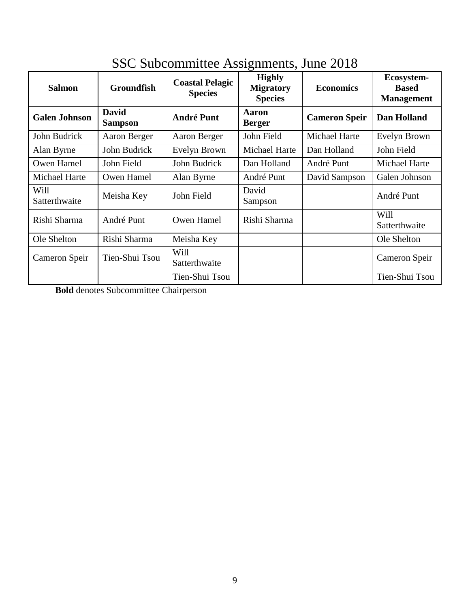| <b>Salmon</b>         | <b>Coastal Pelagic</b><br><b>Groundfish</b><br><b>Species</b> |                       | O<br><b>Highly</b><br><b>Migratory</b><br><b>Species</b> | <b>Economics</b>     | Ecosystem-<br><b>Based</b><br><b>Management</b> |  |
|-----------------------|---------------------------------------------------------------|-----------------------|----------------------------------------------------------|----------------------|-------------------------------------------------|--|
| <b>Galen Johnson</b>  | <b>David</b><br><b>Sampson</b>                                | <b>André Punt</b>     | <b>Aaron</b><br><b>Berger</b>                            | <b>Cameron Speir</b> | <b>Dan Holland</b>                              |  |
| John Budrick          | Aaron Berger                                                  | Aaron Berger          | John Field                                               | Michael Harte        | Evelyn Brown                                    |  |
| Alan Byrne            | John Budrick                                                  | Evelyn Brown          | Michael Harte                                            | Dan Holland          | John Field                                      |  |
| Owen Hamel            | John Field                                                    | John Budrick          | Dan Holland                                              | André Punt           | Michael Harte                                   |  |
| Michael Harte         | Owen Hamel                                                    | Alan Byrne            | André Punt                                               | David Sampson        | Galen Johnson                                   |  |
| Will<br>Satterthwaite | Meisha Key                                                    | John Field            | David<br>Sampson                                         |                      | André Punt                                      |  |
| Rishi Sharma          | André Punt                                                    | Owen Hamel            | Rishi Sharma                                             |                      | Will<br>Satterthwaite                           |  |
| Ole Shelton           | Rishi Sharma                                                  | Meisha Key            |                                                          |                      | Ole Shelton                                     |  |
| Cameron Speir         | Tien-Shui Tsou                                                | Will<br>Satterthwaite |                                                          |                      | Cameron Speir                                   |  |
|                       |                                                               | Tien-Shui Tsou        |                                                          |                      | Tien-Shui Tsou                                  |  |

# SSC Subcommittee Assignments, June 2018

**Bold** denotes Subcommittee Chairperson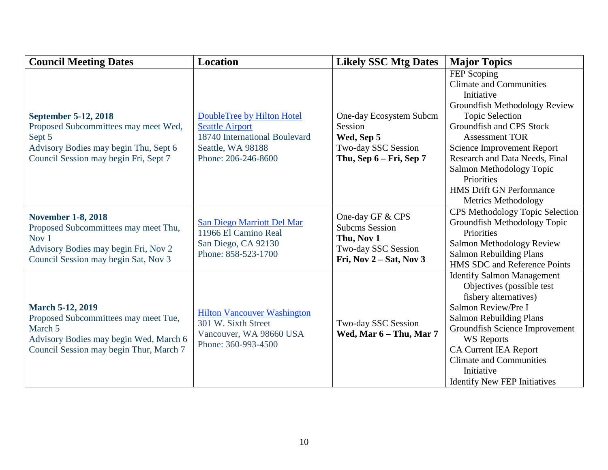| <b>Council Meeting Dates</b>                                                                                                                                               | <b>Location</b>                                                                                                                   | <b>Likely SSC Mtg Dates</b>                                                                                  | <b>Major Topics</b>                                                                                                                                                                                                                                                                                                                                           |
|----------------------------------------------------------------------------------------------------------------------------------------------------------------------------|-----------------------------------------------------------------------------------------------------------------------------------|--------------------------------------------------------------------------------------------------------------|---------------------------------------------------------------------------------------------------------------------------------------------------------------------------------------------------------------------------------------------------------------------------------------------------------------------------------------------------------------|
| September 5-12, 2018<br>Proposed Subcommittees may meet Wed,<br>Sept 5<br>Advisory Bodies may begin Thu, Sept 6<br>Council Session may begin Fri, Sept 7                   | DoubleTree by Hilton Hotel<br><b>Seattle Airport</b><br>18740 International Boulevard<br>Seattle, WA 98188<br>Phone: 206-246-8600 | One-day Ecosystem Subcm<br>Session<br>Wed, Sep 5<br>Two-day SSC Session<br>Thu, Sep 6 – Fri, Sep 7           | FEP Scoping<br><b>Climate and Communities</b><br>Initiative<br>Groundfish Methodology Review<br><b>Topic Selection</b><br>Groundfish and CPS Stock<br><b>Assessment TOR</b><br><b>Science Improvement Report</b><br>Research and Data Needs, Final<br>Salmon Methodology Topic<br>Priorities<br><b>HMS Drift GN Performance</b><br><b>Metrics Methodology</b> |
| <b>November 1-8, 2018</b><br>Proposed Subcommittees may meet Thu,<br>Nov 1<br>Advisory Bodies may begin Fri, Nov 2<br>Council Session may begin Sat, Nov 3                 | San Diego Marriott Del Mar<br>11966 El Camino Real<br>San Diego, CA 92130<br>Phone: 858-523-1700                                  | One-day GF & CPS<br><b>Subcms Session</b><br>Thu, Nov 1<br>Two-day SSC Session<br>Fri, Nov $2 - Sat$ , Nov 3 | <b>CPS Methodology Topic Selection</b><br>Groundfish Methodology Topic<br>Priorities<br>Salmon Methodology Review<br><b>Salmon Rebuilding Plans</b><br>HMS SDC and Reference Points                                                                                                                                                                           |
| <b>March 5-12, 2019</b><br>Proposed Subcommittees may meet Tue,<br>March <sub>5</sub><br>Advisory Bodies may begin Wed, March 6<br>Council Session may begin Thur, March 7 | <b>Hilton Vancouver Washington</b><br>301 W. Sixth Street<br>Vancouver, WA 98660 USA<br>Phone: 360-993-4500                       | Two-day SSC Session<br>Wed, Mar 6 - Thu, Mar 7                                                               | <b>Identify Salmon Management</b><br>Objectives (possible test<br>fishery alternatives)<br>Salmon Review/Pre I<br><b>Salmon Rebuilding Plans</b><br>Groundfish Science Improvement<br><b>WS</b> Reports<br><b>CA Current IEA Report</b><br><b>Climate and Communities</b><br>Initiative<br><b>Identify New FEP Initiatives</b>                                |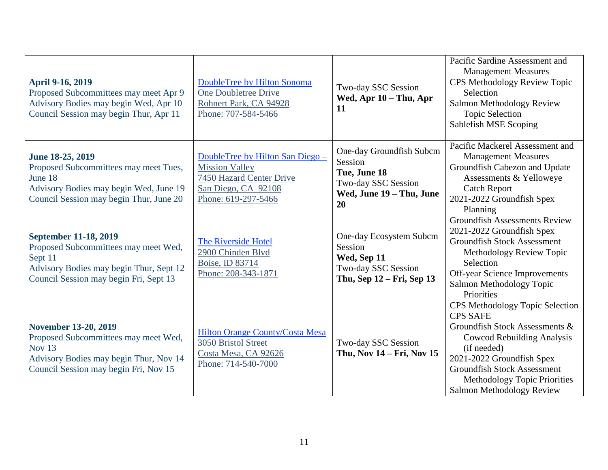| <b>April 9-16, 2019</b><br>Proposed Subcommittees may meet Apr 9<br>Advisory Bodies may begin Wed, Apr 10<br>Council Session may begin Thur, Apr 11                     | DoubleTree by Hilton Sonoma<br>One Doubletree Drive<br>Rohnert Park, CA 94928<br>Phone: 707-584-5466                                | Two-day SSC Session<br>Wed, Apr $10$ – Thu, Apr<br>11                                                        | Pacific Sardine Assessment and<br><b>Management Measures</b><br><b>CPS Methodology Review Topic</b><br>Selection<br>Salmon Methodology Review<br><b>Topic Selection</b><br>Sablefish MSE Scoping                                                                                |
|-------------------------------------------------------------------------------------------------------------------------------------------------------------------------|-------------------------------------------------------------------------------------------------------------------------------------|--------------------------------------------------------------------------------------------------------------|---------------------------------------------------------------------------------------------------------------------------------------------------------------------------------------------------------------------------------------------------------------------------------|
| June 18-25, 2019<br>Proposed Subcommittees may meet Tues,<br>June 18<br>Advisory Bodies may begin Wed, June 19<br>Council Session may begin Thur, June 20               | DoubleTree by Hilton San Diego -<br><b>Mission Valley</b><br>7450 Hazard Center Drive<br>San Diego, CA 92108<br>Phone: 619-297-5466 | One-day Groundfish Subcm<br>Session<br>Tue, June 18<br>Two-day SSC Session<br>Wed, June 19 - Thu, June<br>20 | Pacific Mackerel Assessment and<br><b>Management Measures</b><br>Groundfish Cabezon and Update<br>Assessments & Yelloweye<br><b>Catch Report</b><br>2021-2022 Groundfish Spex<br>Planning                                                                                       |
| September 11-18, 2019<br>Proposed Subcommittees may meet Wed,<br>Sept 11<br>Advisory Bodies may begin Thur, Sept 12<br>Council Session may begin Fri, Sept 13           | The Riverside Hotel<br>2900 Chinden Blvd<br>Boise, ID 83714<br>Phone: 208-343-1871                                                  | One-day Ecosystem Subcm<br>Session<br>Wed, Sep 11<br>Two-day SSC Session<br>Thu, Sep 12 – Fri, Sep 13        | <b>Groundfish Assessments Review</b><br>2021-2022 Groundfish Spex<br><b>Groundfish Stock Assessment</b><br>Methodology Review Topic<br>Selection<br>Off-year Science Improvements<br>Salmon Methodology Topic<br>Priorities                                                     |
| <b>November 13-20, 2019</b><br>Proposed Subcommittees may meet Wed,<br><b>Nov 13</b><br>Advisory Bodies may begin Thur, Nov 14<br>Council Session may begin Fri, Nov 15 | <b>Hilton Orange County/Costa Mesa</b><br>3050 Bristol Street<br>Costa Mesa, CA 92626<br>Phone: 714-540-7000                        | Two-day SSC Session<br>Thu, Nov 14 – Fri, Nov 15                                                             | CPS Methodology Topic Selection<br><b>CPS SAFE</b><br>Groundfish Stock Assessments &<br><b>Cowcod Rebuilding Analysis</b><br>(if needed)<br>2021-2022 Groundfish Spex<br><b>Groundfish Stock Assessment</b><br>Methodology Topic Priorities<br><b>Salmon Methodology Review</b> |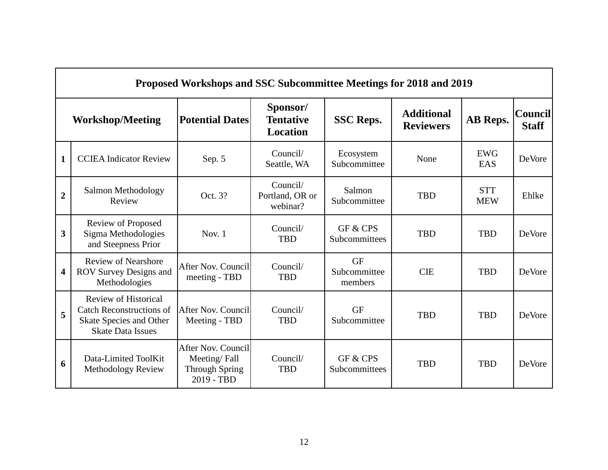|                         | Proposed Workshops and SSC Subcommittee Meetings for 2018 and 2019                                                           |                                                                           |                                                 |                                      |                                       |                          |                                |  |  |
|-------------------------|------------------------------------------------------------------------------------------------------------------------------|---------------------------------------------------------------------------|-------------------------------------------------|--------------------------------------|---------------------------------------|--------------------------|--------------------------------|--|--|
|                         | <b>Workshop/Meeting</b>                                                                                                      | <b>Potential Dates</b>                                                    | Sponsor/<br><b>Tentative</b><br><b>Location</b> | <b>SSC Reps.</b>                     | <b>Additional</b><br><b>Reviewers</b> | AB Reps.                 | <b>Council</b><br><b>Staff</b> |  |  |
| $\mathbf{1}$            | <b>CCIEA</b> Indicator Review                                                                                                | Sep. 5                                                                    | Council/<br>Seattle, WA                         | Ecosystem<br>Subcommittee            | None                                  | <b>EWG</b><br>EAS        | DeVore                         |  |  |
| $\overline{2}$          | Salmon Methodology<br>Review                                                                                                 | Oct. 3?                                                                   | Council/<br>Portland, OR or<br>webinar?         | Salmon<br>Subcommittee               | <b>TBD</b>                            | <b>STT</b><br><b>MEW</b> | Ehlke                          |  |  |
| 3                       | <b>Review of Proposed</b><br>Sigma Methodologies<br>and Steepness Prior                                                      | Nov. $1$                                                                  | Council/<br><b>TBD</b>                          | GF & CPS<br>Subcommittees            | <b>TBD</b>                            | <b>TBD</b>               | DeVore                         |  |  |
| $\overline{\mathbf{4}}$ | <b>Review of Nearshore</b><br><b>ROV Survey Designs and</b><br>Methodologies                                                 | After Nov. Council<br>meeting - TBD                                       | Council/<br><b>TBD</b>                          | <b>GF</b><br>Subcommittee<br>members | <b>CIE</b>                            | <b>TBD</b>               | <b>DeVore</b>                  |  |  |
| 5                       | <b>Review of Historical</b><br><b>Catch Reconstructions of</b><br><b>Skate Species and Other</b><br><b>Skate Data Issues</b> | After Nov. Council<br>Meeting - TBD                                       | Council/<br><b>TBD</b>                          | <b>GF</b><br>Subcommittee            | <b>TBD</b>                            | <b>TBD</b>               | DeVore                         |  |  |
| 6                       | Data-Limited ToolKit<br><b>Methodology Review</b>                                                                            | After Nov. Council<br>Meeting/Fall<br><b>Through Spring</b><br>2019 - TBD | Council/<br><b>TBD</b>                          | GF & CPS<br>Subcommittees            | <b>TBD</b>                            | <b>TBD</b>               | DeVore                         |  |  |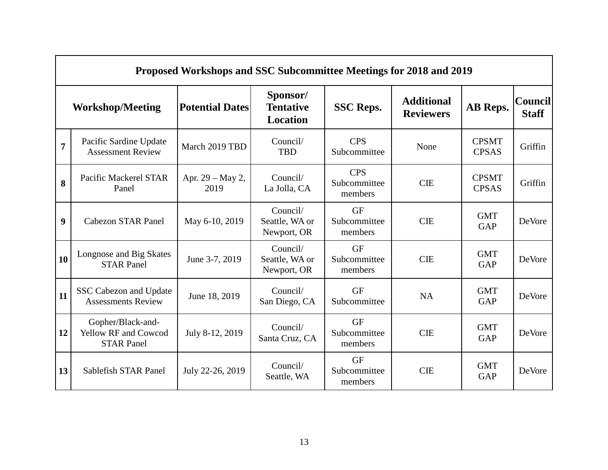|                | Proposed Workshops and SSC Subcommittee Meetings for 2018 and 2019 |                          |                                                 |                                       |                                       |                              |                                |  |
|----------------|--------------------------------------------------------------------|--------------------------|-------------------------------------------------|---------------------------------------|---------------------------------------|------------------------------|--------------------------------|--|
|                | <b>Workshop/Meeting</b>                                            | <b>Potential Dates</b>   | Sponsor/<br><b>Tentative</b><br><b>Location</b> | <b>SSC Reps.</b>                      | <b>Additional</b><br><b>Reviewers</b> | <b>AB</b> Reps.              | <b>Council</b><br><b>Staff</b> |  |
| $\overline{7}$ | Pacific Sardine Update<br><b>Assessment Review</b>                 | March 2019 TBD           | Council/<br><b>TBD</b>                          | <b>CPS</b><br>Subcommittee            | None                                  | <b>CPSMT</b><br><b>CPSAS</b> | Griffin                        |  |
| 8              | Pacific Mackerel STAR<br>Panel                                     | Apr. 29 - May 2,<br>2019 | Council/<br>La Jolla, CA                        | <b>CPS</b><br>Subcommittee<br>members | <b>CIE</b>                            | <b>CPSMT</b><br><b>CPSAS</b> | Griffin                        |  |
| 9              | <b>Cabezon STAR Panel</b>                                          | May 6-10, 2019           | Council/<br>Seattle, WA or<br>Newport, OR       | <b>GF</b><br>Subcommittee<br>members  | <b>CIE</b>                            | <b>GMT</b><br><b>GAP</b>     | DeVore                         |  |
| 10             | Longnose and Big Skates<br><b>STAR Panel</b>                       | June 3-7, 2019           | Council/<br>Seattle, WA or<br>Newport, OR       | <b>GF</b><br>Subcommittee<br>members  | <b>CIE</b>                            | <b>GMT</b><br><b>GAP</b>     | DeVore                         |  |
| 11             | SSC Cabezon and Update<br><b>Assessments Review</b>                | June 18, 2019            | Council/<br>San Diego, CA                       | <b>GF</b><br>Subcommittee             | <b>NA</b>                             | <b>GMT</b><br><b>GAP</b>     | <b>DeVore</b>                  |  |
| 12             | Gopher/Black-and-<br>Yellow RF and Cowcod<br><b>STAR Panel</b>     | July 8-12, 2019          | Council/<br>Santa Cruz, CA                      | <b>GF</b><br>Subcommittee<br>members  | <b>CIE</b>                            | <b>GMT</b><br><b>GAP</b>     | DeVore                         |  |
| 13             | Sablefish STAR Panel                                               | July 22-26, 2019         | Council/<br>Seattle, WA                         | <b>GF</b><br>Subcommittee<br>members  | <b>CIE</b>                            | <b>GMT</b><br><b>GAP</b>     | DeVore                         |  |